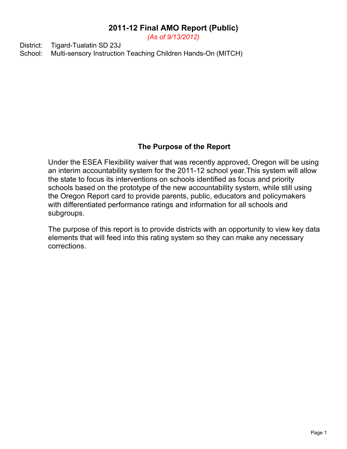*(As of 9/13/2012)*

District: Tigard-Tualatin SD 23J School: Multi-sensory Instruction Teaching Children Hands-On (MITCH)

# **The Purpose of the Report**

Under the ESEA Flexibility waiver that was recently approved, Oregon will be using an interim accountability system for the 2011-12 school year.This system will allow the state to focus its interventions on schools identified as focus and priority schools based on the prototype of the new accountability system, while still using the Oregon Report card to provide parents, public, educators and policymakers with differentiated performance ratings and information for all schools and subgroups.

The purpose of this report is to provide districts with an opportunity to view key data elements that will feed into this rating system so they can make any necessary corrections.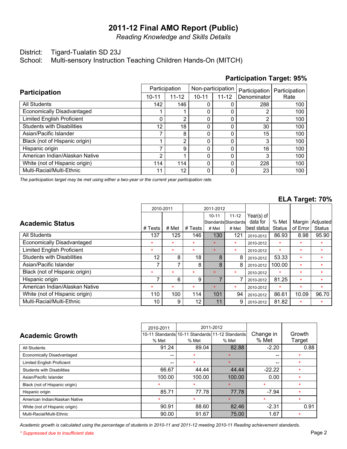*Reading Knowledge and Skills Details*

## District: Tigard-Tualatin SD 23J

School: Multi-sensory Instruction Teaching Children Hands-On (MITCH)

| <b>Participation</b>              | Participation                                    |                | Non-participation |      | Participation | Participation |  |
|-----------------------------------|--------------------------------------------------|----------------|-------------------|------|---------------|---------------|--|
|                                   | $11 - 12$<br>$10 - 11$<br>$11 - 12$<br>$10 - 11$ |                | Denominator       | Rate |               |               |  |
| <b>All Students</b>               | 142                                              | 146            |                   |      | 288           | 100           |  |
| Economically Disadvantaged        |                                                  |                |                   |      | 2             | 100           |  |
| <b>Limited English Proficient</b> | 0                                                | 2              |                   | 0    | 2             | 100           |  |
| <b>Students with Disabilities</b> | 12                                               | 18             |                   | 0    | 30            | 100           |  |
| Asian/Pacific Islander            | ⇁                                                | 8              |                   |      | 15            | 100           |  |
| Black (not of Hispanic origin)    |                                                  | $\overline{2}$ |                   | ი    | 3             | 100           |  |
| Hispanic origin                   | ⇁                                                | 9              |                   | ი    | 16            | 100           |  |
| American Indian/Alaskan Native    | 2                                                |                |                   | O    | 3             | 100           |  |
| White (not of Hispanic origin)    | 114                                              | 114            |                   | 0    | 228           | 100           |  |
| Multi-Racial/Multi-Ethnic         | 11                                               | 12             |                   | 0    | 23            | 100           |  |

## **Participation Target: 95%**

*The participation target may be met using either a two-year or the current year participation rate.*

## **ELA Target: 70%**

|                                   |         | 2010-2011 | 2011-2012 |                |                       |               |               |          |               |
|-----------------------------------|---------|-----------|-----------|----------------|-----------------------|---------------|---------------|----------|---------------|
|                                   |         |           |           | $10 - 11$      | $11 - 12$             | Year(s) of    |               |          |               |
| <b>Academic Status</b>            |         |           |           |                | lStandardslStandardsl | data for      | % Met         | Margin   | Adjusted      |
|                                   | # Tests | # Met     | # Tests   | # Met          | # Met                 | lbest statusl | <b>Status</b> | of Error | <b>Status</b> |
| All Students                      | 137     | 125       | 146       | 130            | 121                   | 2010-2012     | 86.93         | 8.98     | 95.90         |
| Economically Disadvantaged        | $\star$ | $\star$   | $\star$   | $\star$        | $\star$               | 2010-2012     | $\star$       | $\star$  | $\star$       |
| <b>Limited English Proficient</b> | $\star$ | $\star$   | $\star$   | $\star$        | $\star$               | 2010-2012     | $\star$       | $\star$  | $\star$       |
| <b>Students with Disabilities</b> | 12      | 8         | 18        | 8              | 8                     | 2010-2012     | 53.33         | $\star$  | $\star$       |
| Asian/Pacific Islander            |         | 7         | 8         | 8              | 8                     | 2010-2012     | 100.00        | $\star$  | $\star$       |
| Black (not of Hispanic origin)    | $\star$ | $\star$   | $\star$   | $\star$        | $\star$               | 2010-2012     | $\star$       | $\star$  | $\star$       |
| Hispanic origin                   |         | 6         | 9         | $\overline{7}$ |                       | 2010-2012     | 81.25         | $\star$  | $\star$       |
| American Indian/Alaskan Native    | $\star$ | $\star$   | $\star$   | $\star$        | $\star$               | 2010-2012     | $\star$       | $\star$  | $\star$       |
| White (not of Hispanic origin)    | 110     | 100       | 114       | 101            | 94                    | 2010-2012     | 86.61         | 10.09    | 96.70         |
| Multi-Racial/Multi-Ethnic         | 10      | 9         | 12        | 11             | 9                     | 2010-2012     | 81.82         | $\star$  | $\star$       |

|                                   | 2010-2011 | 2011-2012 |                                                 |           |         |
|-----------------------------------|-----------|-----------|-------------------------------------------------|-----------|---------|
| <b>Academic Growth</b>            |           |           | 10-11 Standards 10-11 Standards 11-12 Standards | Change in | Growth  |
|                                   | % Met     | % Met     | % Met                                           | % Met     | Target  |
| All Students                      | 91.24     | 89.04     | 82.88                                           | $-2.20$   | 0.88    |
| <b>Economically Disadvantaged</b> | --        | $\star$   | ÷                                               | --        | $\star$ |
| <b>Limited English Proficient</b> | --        | $\star$   | $\star$                                         | --        | $\star$ |
| Students with Disabilities        | 66.67     | 44.44     | 44.44                                           | $-22.22$  | $\star$ |
| Asian/Pacific Islander            | 100.00    | 100.00    | 100.00                                          | 0.00      | $\star$ |
| Black (not of Hispanic origin)    | $\star$   | $\star$   | ÷.                                              | $\star$   | ÷       |
| Hispanic origin                   | 85.71     | 77.78     | 77.78                                           | $-7.94$   | $\star$ |
| American Indian/Alaskan Native    | $\star$   | $\star$   | $\star$                                         | $\star$   | $\star$ |
| White (not of Hispanic origin)    | 90.91     | 88.60     | 82.46                                           | $-2.31$   | 0.91    |
| Multi-Racial/Multi-Ethnic         | 90.00     | 91.67     | 75.00                                           | 1.67      | $\star$ |

*Academic growth is calculated using the percentage of students in 2010-11 and 2011-12 meeting 2010-11 Reading achievement standards.*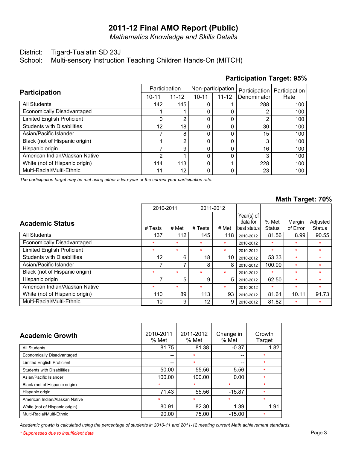*Mathematics Knowledge and Skills Details*

#### District: Tigard-Tualatin SD 23J

School: Multi-sensory Instruction Teaching Children Hands-On (MITCH)

#### Multi-Racial/Multi-Ethnic White (not of Hispanic origin) American Indian/Alaskan Native Hispanic origin Black (not of Hispanic origin) Asian/Pacific Islander Students with Disabilities Limited English Proficient Economically Disadvantaged All Students **Participation** 11 114  $\overline{2}$ 7 1 7 12  $\overline{0}$ 1 142 10-11 12 113 1 9 2 8 18 2 1 145 Participation 11-12 0 0  $\overline{0}$ 0  $\overline{0}$ 0 0  $\overline{0}$  $\overline{0}$ 0 10-11 0 1  $\overline{0}$ 0  $\overline{0}$ 0  $\overline{0}$  $\overline{0}$  $\overline{0}$ 1 Non-participation 11-12 23 228 3 16 3 15 30 2 2 288 **Denominator** Participation 100 100 100 100 100 100 100 100 100 100 Rate Participation

*The participation target may be met using either a two-year or the current year participation rate.*

#### **Math Target: 70%**

**Participation Target: 95%**

|                                   | 2010-2011 |         | 2011-2012 |         |               |               |          |               |
|-----------------------------------|-----------|---------|-----------|---------|---------------|---------------|----------|---------------|
|                                   |           |         |           |         | Year(s) of    |               |          |               |
| <b>Academic Status</b>            |           |         |           |         | data for      | % Met         | Margin   | Adjusted      |
|                                   | # Tests   | # Met   | # Tests   | # Met   | lbest statusl | <b>Status</b> | of Error | <b>Status</b> |
| All Students                      | 137       | 112     | 145       | 118     | 2010-2012     | 81.56         | 8.99     | 90.55         |
| Economically Disadvantaged        | $\star$   | $\star$ | $\star$   | $\star$ | 2010-2012     | $\star$       | $\star$  | ÷             |
| <b>Limited English Proficient</b> | $\star$   | $\star$ | $\star$   | $\star$ | 2010-2012     | $\star$       | $\star$  | $\star$       |
| <b>Students with Disabilities</b> | 12        | 6       | 18        | 10      | 2010-2012     | 53.33         | $\star$  | $\star$       |
| Asian/Pacific Islander            | ⇁         |         | 8         | 8       | 2010-2012     | 100.00        | $\star$  | $\star$       |
| Black (not of Hispanic origin)    | $\star$   | $\star$ | $\star$   | $\star$ | 2010-2012     | $\ast$        | $\star$  | $\star$       |
| Hispanic origin                   | ⇁         | 5       | 9         | 5       | 2010-2012     | 62.50         | $\star$  | $\star$       |
| American Indian/Alaskan Native    | $\star$   | $\star$ | $\star$   | $\star$ | 2010-2012     | $\star$       | $\star$  | $\star$       |
| White (not of Hispanic origin)    | 110       | 89      | 113       | 93      | 2010-2012     | 81.61         | 10.11    | 91.73         |
| Multi-Racial/Multi-Ethnic         | 10        | 9       | 12        | 9       | 2010-2012     | 81.82         | $\star$  | $\star$       |

| <b>Academic Growth</b>            | 2010-2011<br>% Met | 2011-2012<br>% Met | Change in<br>% Met | Growth<br>Target |
|-----------------------------------|--------------------|--------------------|--------------------|------------------|
| All Students                      | 81.75              | 81.38              | $-0.37$            | 1.82             |
| Economically Disadvantaged        | --                 | $\star$            | --                 | $\star$          |
| <b>Limited English Proficient</b> | --                 | $\star$            | --                 | $\star$          |
| <b>Students with Disabilities</b> | 50.00              | 55.56              | 5.56               | $\star$          |
| Asian/Pacific Islander            | 100.00             | 100.00             | 0.00               | $\star$          |
| Black (not of Hispanic origin)    | $\star$            | $\star$            | $\star$            | $\bullet$        |
| Hispanic origin                   | 71.43              | 55.56              | $-15.87$           | $\star$          |
| American Indian/Alaskan Native    | $\star$            | $\star$            | $\star$            | $\star$          |
| White (not of Hispanic origin)    | 80.91              | 82.30              | 1.39               | 1.91             |
| Multi-Racial/Multi-Ethnic         | 90.00              | 75.00              | $-15.00$           | $\star$          |

*Academic growth is calculated using the percentage of students in 2010-11 and 2011-12 meeting current Math achievement standards.*

*\* Suppressed due to insufficient data* Page 3